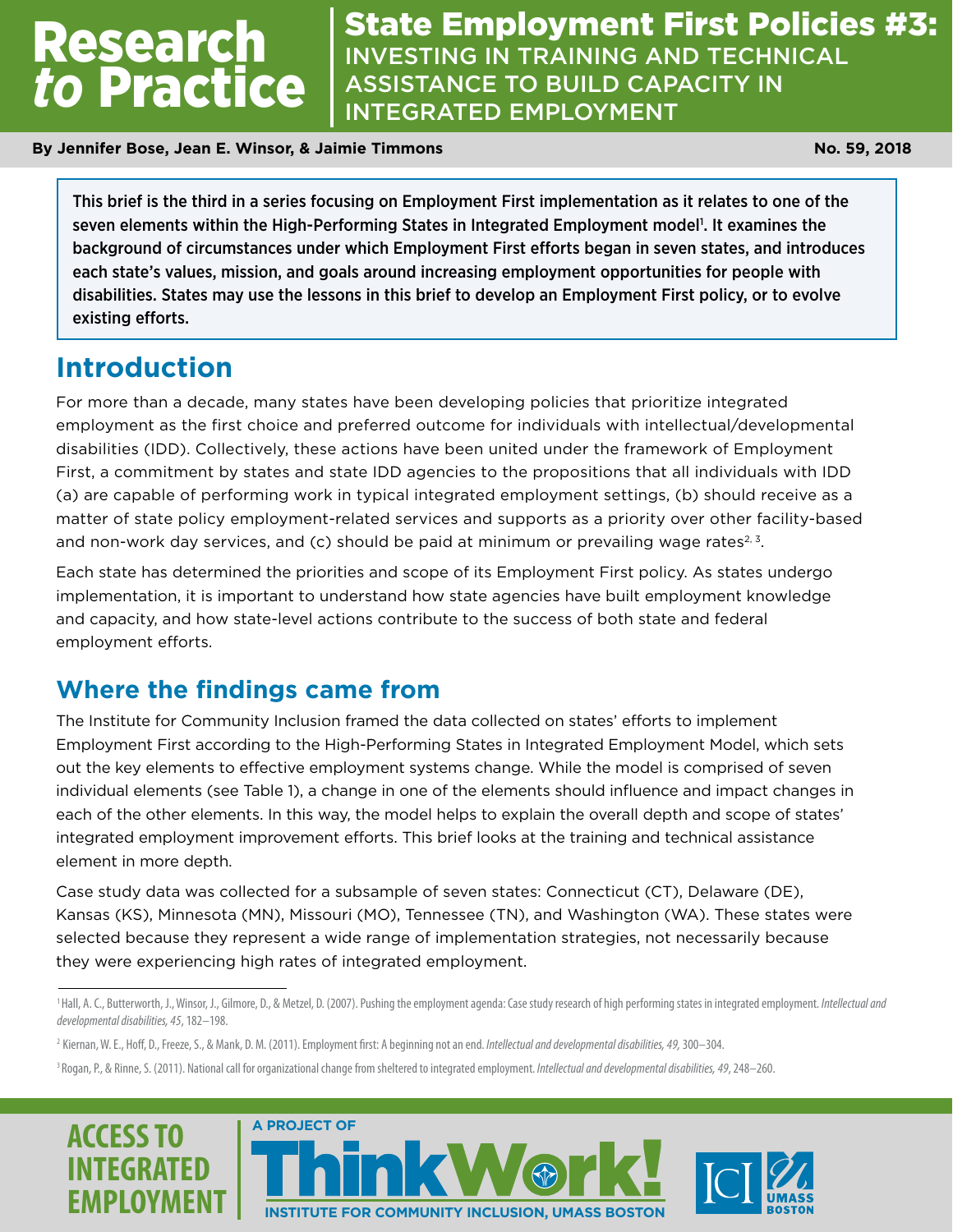# *to* Practice

Research State Employment First Policies #3:<br>Pesearch Investing In Training and Technical INVESTING IN TRAINING AND TECHNICAL **ASSISTANCE TO BUILD CAPACITY IN** INTEGRATED EMPLOYMENT

**By Jennifer Bose, Jean E. Winsor, & Jaimie Timmons No. 59, 2018 No. 59, 2018** 

This brief is the third in a series focusing on Employment First implementation as it relates to one of the seven elements within the High-Performing States in Integrated Employment model<sup>1</sup>. It examines the background of circumstances under which Employment First efforts began in seven states, and introduces each state's values, mission, and goals around increasing employment opportunities for people with disabilities. States may use the lessons in this brief to develop an Employment First policy, or to evolve existing efforts.

## **Introduction**

For more than a decade, many states have been developing policies that prioritize integrated employment as the first choice and preferred outcome for individuals with intellectual/developmental disabilities (IDD). Collectively, these actions have been united under the framework of Employment First, a commitment by states and state IDD agencies to the propositions that all individuals with IDD (a) are capable of performing work in typical integrated employment settings, (b) should receive as a matter of state policy employment-related services and supports as a priority over other facility-based and non-work day services, and (c) should be paid at minimum or prevailing wage rates<sup>2, 3</sup>.

Each state has determined the priorities and scope of its Employment First policy. As states undergo implementation, it is important to understand how state agencies have built employment knowledge and capacity, and how state-level actions contribute to the success of both state and federal employment efforts.

#### **Where the findings came from**

The Institute for Community Inclusion framed the data collected on states' efforts to implement Employment First according to the High-Performing States in Integrated Employment Model, which sets out the key elements to effective employment systems change. While the model is comprised of seven individual elements (see Table 1), a change in one of the elements should influence and impact changes in each of the other elements. In this way, the model helps to explain the overall depth and scope of states' integrated employment improvement efforts. This brief looks at the training and technical assistance element in more depth.

Case study data was collected for a subsample of seven states: Connecticut (CT), Delaware (DE), Kansas (KS), Minnesota (MN), Missouri (MO), Tennessee (TN), and Washington (WA). These states were selected because they represent a wide range of implementation strategies, not necessarily because they were experiencing high rates of integrated employment.

<sup>&</sup>lt;sup>3</sup> Rogan, P., & Rinne, S. (2011). National call for organizational change from sheltered to integrated employment. Intellectual and developmental disabilities, 49, 248–260.







<sup>&</sup>lt;sup>1</sup> Hall, A. C., Butterworth, J., Winsor, J., Gilmore, D., & Metzel, D. (2007). Pushing the employment agenda: Case study research of high performing states in integrated employment. *Intellectual and developmental disabilities, 45*, 182–198.

<sup>2</sup> Kiernan, W. E., Hoff, D., Freeze, S., & Mank, D. M. (2011). Employment first: A beginning not an end. *Intellectual and developmental disabilities, 49,* 300–304.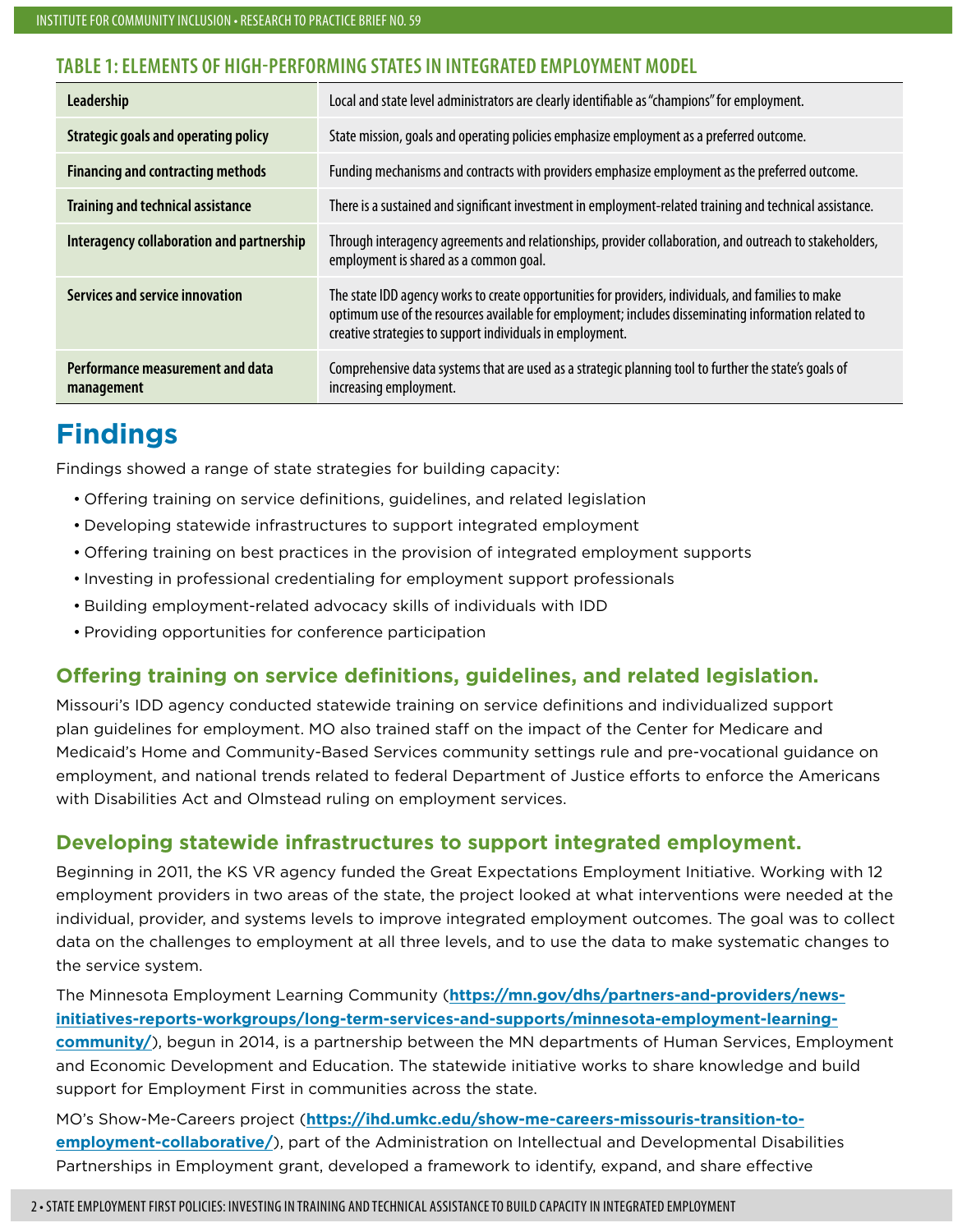#### **TABLE 1: ELEMENTS OF HIGH-PERFORMING STATES IN INTEGRATED EMPLOYMENT MODEL**

| Leadership                                     | Local and state level administrators are clearly identifiable as "champions" for employment.                                                                                                                                                                             |
|------------------------------------------------|--------------------------------------------------------------------------------------------------------------------------------------------------------------------------------------------------------------------------------------------------------------------------|
| <b>Strategic goals and operating policy</b>    | State mission, goals and operating policies emphasize employment as a preferred outcome.                                                                                                                                                                                 |
| <b>Financing and contracting methods</b>       | Funding mechanisms and contracts with providers emphasize employment as the preferred outcome.                                                                                                                                                                           |
| <b>Training and technical assistance</b>       | There is a sustained and significant investment in employment-related training and technical assistance.                                                                                                                                                                 |
| Interagency collaboration and partnership      | Through interagency agreements and relationships, provider collaboration, and outreach to stakeholders,<br>employment is shared as a common goal.                                                                                                                        |
| Services and service innovation                | The state IDD agency works to create opportunities for providers, individuals, and families to make<br>optimum use of the resources available for employment; includes disseminating information related to<br>creative strategies to support individuals in employment. |
| Performance measurement and data<br>management | Comprehensive data systems that are used as a strategic planning tool to further the state's goals of<br>increasing employment.                                                                                                                                          |

## **Findings**

Findings showed a range of state strategies for building capacity:

- Offering training on service definitions, guidelines, and related legislation
- Developing statewide infrastructures to support integrated employment
- Offering training on best practices in the provision of integrated employment supports
- Investing in professional credentialing for employment support professionals
- Building employment-related advocacy skills of individuals with IDD
- Providing opportunities for conference participation

#### **Offering training on service definitions, guidelines, and related legislation.**

Missouri's IDD agency conducted statewide training on service definitions and individualized support plan guidelines for employment. MO also trained staff on the impact of the Center for Medicare and Medicaid's Home and Community-Based Services community settings rule and pre-vocational guidance on employment, and national trends related to federal Department of Justice efforts to enforce the Americans with Disabilities Act and Olmstead ruling on employment services.

#### **Developing statewide infrastructures to support integrated employment.**

Beginning in 2011, the KS VR agency funded the Great Expectations Employment Initiative. Working with 12 employment providers in two areas of the state, the project looked at what interventions were needed at the individual, provider, and systems levels to improve integrated employment outcomes. The goal was to collect data on the challenges to employment at all three levels, and to use the data to make systematic changes to the service system.

The Minnesota Employment Learning Community (**[https://mn.gov/dhs/partners-and-providers/news](https://mn.gov/dhs/partners-and-providers/news-initiatives-reports-workgroups/long-term-services-and-supports/minnesota-employment-learning-community/)[initiatives-reports-workgroups/long-term-services-and-supports/minnesota-employment-learning](https://mn.gov/dhs/partners-and-providers/news-initiatives-reports-workgroups/long-term-services-and-supports/minnesota-employment-learning-community/)[community/](https://mn.gov/dhs/partners-and-providers/news-initiatives-reports-workgroups/long-term-services-and-supports/minnesota-employment-learning-community/)**), begun in 2014, is a partnership between the MN departments of Human Services, Employment and Economic Development and Education. The statewide initiative works to share knowledge and build support for Employment First in communities across the state.

MO's Show-Me-Careers project (**[https://ihd.umkc.edu/show-me-careers-missouris-transition-to](https://ihd.umkc.edu/show-me-careers-missouris-transition-to-employment-collaborative/)[employment-collaborative/](https://ihd.umkc.edu/show-me-careers-missouris-transition-to-employment-collaborative/)**), part of the Administration on Intellectual and Developmental Disabilities Partnerships in Employment grant, developed a framework to identify, expand, and share effective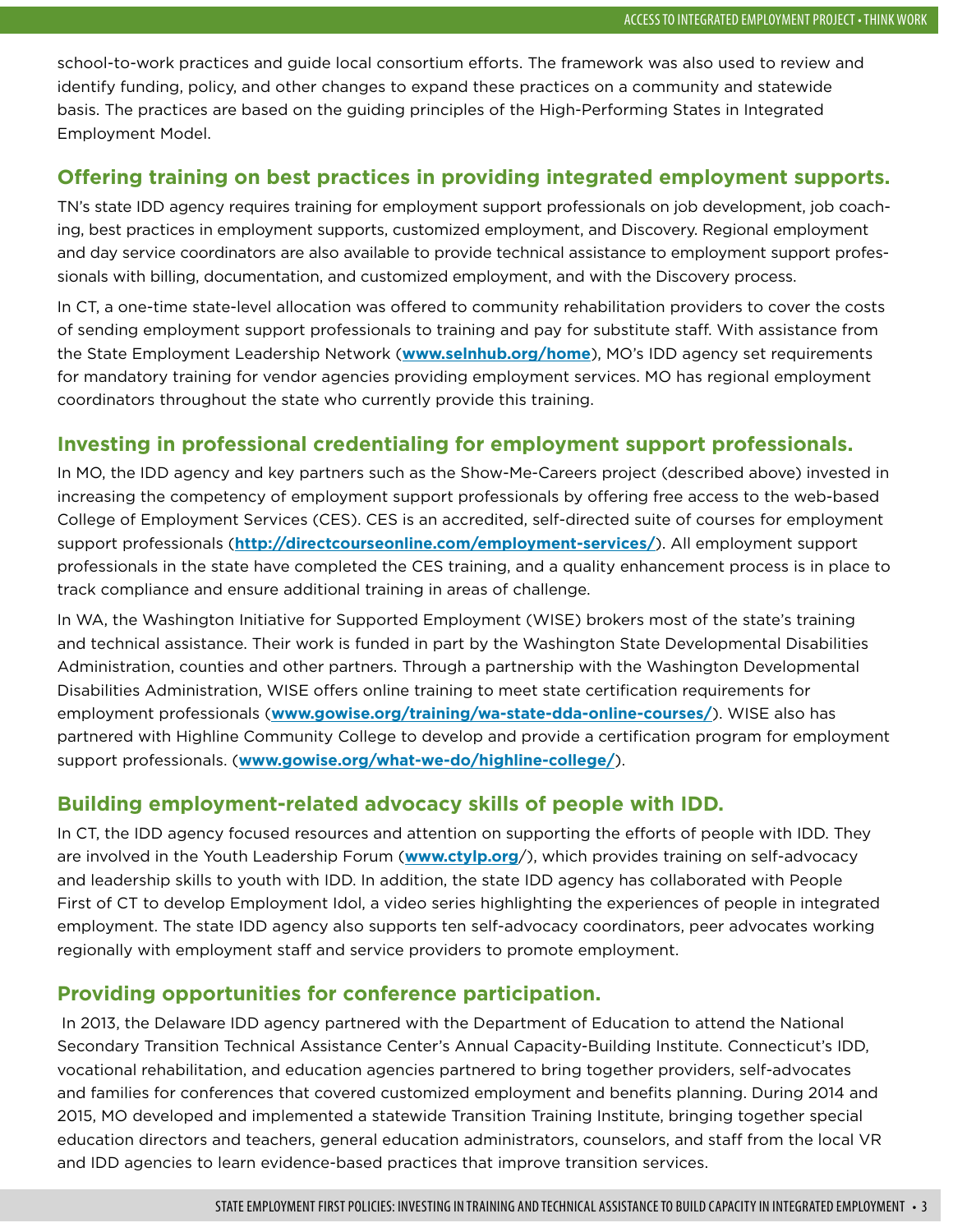school-to-work practices and guide local consortium efforts. The framework was also used to review and identify funding, policy, and other changes to expand these practices on a community and statewide basis. The practices are based on the guiding principles of the High-Performing States in Integrated Employment Model.

#### **Offering training on best practices in providing integrated employment supports.**

TN's state IDD agency requires training for employment support professionals on job development, job coaching, best practices in employment supports, customized employment, and Discovery. Regional employment and day service coordinators are also available to provide technical assistance to employment support professionals with billing, documentation, and customized employment, and with the Discovery process.

In CT, a one-time state-level allocation was offered to community rehabilitation providers to cover the costs of sending employment support professionals to training and pay for substitute staff. With assistance from the State Employment Leadership Network (**[www.selnhub.org/home](http://www.selnhub.org/home)**), MO's IDD agency set requirements for mandatory training for vendor agencies providing employment services. MO has regional employment coordinators throughout the state who currently provide this training.

#### **Investing in professional credentialing for employment support professionals.**

In MO, the IDD agency and key partners such as the Show-Me-Careers project (described above) invested in increasing the competency of employment support professionals by offering free access to the web-based College of Employment Services (CES). CES is an accredited, self-directed suite of courses for employment support professionals (**[http://directcourseonline.com/employment-services/](http://directcourseonline.com/employment)**). All employment support professionals in the state have completed the CES training, and a quality enhancement process is in place to track compliance and ensure additional training in areas of challenge.

In WA, the Washington Initiative for Supported Employment (WISE) brokers most of the state's training and technical assistance. Their work is funded in part by the Washington State Developmental Disabilities Administration, counties and other partners. Through a partnership with the Washington Developmental Disabilities Administration, WISE offers online training to meet state certification requirements for employment professionals (**[www.gowise.org/training/wa-state-dda-online-courses/](http://www.gowise.org/training/wa-state-dda-online-courses/)**). WISE also has partnered with Highline Community College to develop and provide a certification program for employment support professionals. (**[www.gowise.org/what-we-do/highline-college/](http://www.gowise.org/what-we-do/highline-college/)**).

#### **Building employment-related advocacy skills of people with IDD.**

In CT, the IDD agency focused resources and attention on supporting the efforts of people with IDD. They are involved in the Youth Leadership Forum (**[www.ctylp.org](http://www.ctylp.org)**/), which provides training on self-advocacy and leadership skills to youth with IDD. In addition, the state IDD agency has collaborated with People First of CT to develop Employment Idol, a video series highlighting the experiences of people in integrated employment. The state IDD agency also supports ten self-advocacy coordinators, peer advocates working regionally with employment staff and service providers to promote employment.

#### **Providing opportunities for conference participation.**

 In 2013, the Delaware IDD agency partnered with the Department of Education to attend the National Secondary Transition Technical Assistance Center's Annual Capacity-Building Institute. Connecticut's IDD, vocational rehabilitation, and education agencies partnered to bring together providers, self-advocates and families for conferences that covered customized employment and benefits planning. During 2014 and 2015, MO developed and implemented a statewide Transition Training Institute, bringing together special education directors and teachers, general education administrators, counselors, and staff from the local VR and IDD agencies to learn evidence-based practices that improve transition services.